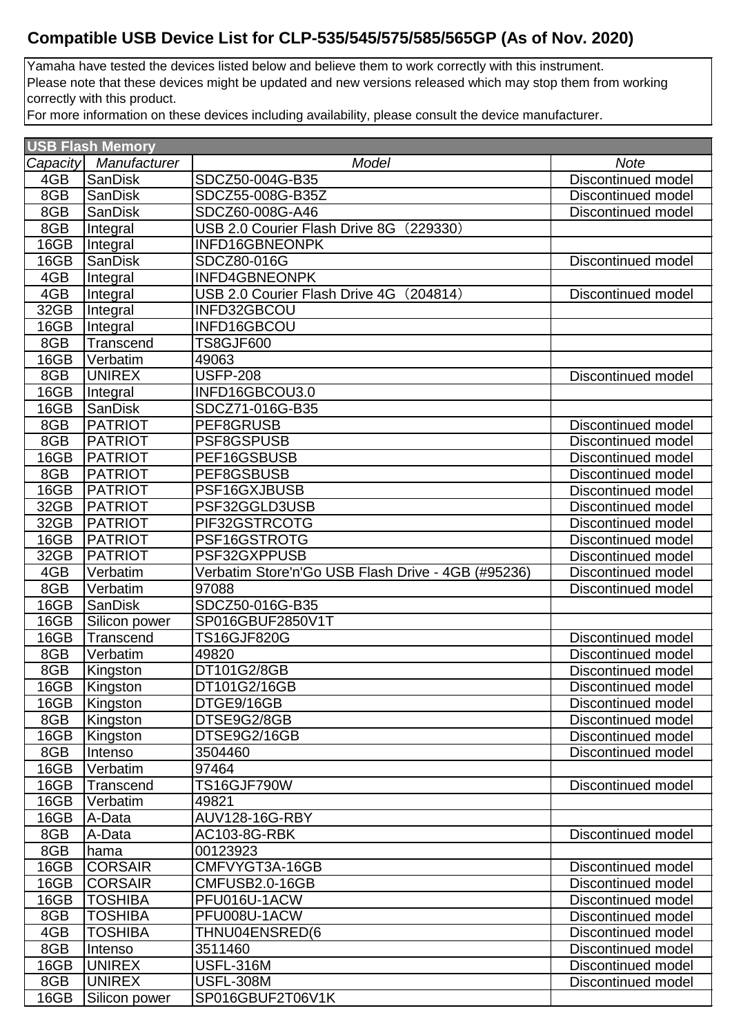## **Compatible USB Device List for CLP-535/545/575/585/565GP (As of Nov. 2020)**

Yamaha have tested the devices listed below and believe them to work correctly with this instrument. Please note that these devices might be updated and new versions released which may stop them from working correctly with this product.

For more information on these devices including availability, please consult the device manufacturer.

| <b>USB Flash Memory</b> |                  |                                                    |                           |  |
|-------------------------|------------------|----------------------------------------------------|---------------------------|--|
| Capacity                | Manufacturer     | Model                                              | <b>Note</b>               |  |
| 4GB                     | SanDisk          | SDCZ50-004G-B35                                    | <b>Discontinued model</b> |  |
| 8GB                     | <b>SanDisk</b>   | SDCZ55-008G-B35Z                                   | <b>Discontinued model</b> |  |
| 8GB                     | <b>SanDisk</b>   | SDCZ60-008G-A46                                    | Discontinued model        |  |
| 8GB                     | Integral         | USB 2.0 Courier Flash Drive 8G (229330)            |                           |  |
| 16GB                    | Integral         | INFD16GBNEONPK                                     |                           |  |
| 16GB                    | <b>SanDisk</b>   | SDCZ80-016G                                        | Discontinued model        |  |
| 4GB                     | Integral         | <b>INFD4GBNEONPK</b>                               |                           |  |
| 4GB                     | Integral         | USB 2.0 Courier Flash Drive 4G (204814)            | Discontinued model        |  |
| 32GB                    | Integral         | INFD32GBCOU                                        |                           |  |
| 16GB                    | Integral         | INFD16GBCOU                                        |                           |  |
| 8GB                     | Transcend        | <b>TS8GJF600</b>                                   |                           |  |
| 16GB                    | Verbatim         | 49063                                              |                           |  |
| 8GB                     | <b>UNIREX</b>    | <b>USFP-208</b>                                    | Discontinued model        |  |
| 16GB                    | Integral         | INFD16GBCOU3.0                                     |                           |  |
| 16GB                    | <b>SanDisk</b>   | SDCZ71-016G-B35                                    |                           |  |
| 8GB                     | <b>PATRIOT</b>   | PEF8GRUSB                                          | Discontinued model        |  |
| 8GB                     | <b>PATRIOT</b>   | PSF8GSPUSB                                         | Discontinued model        |  |
| 16GB                    | <b>PATRIOT</b>   | PEF16GSBUSB                                        | <b>Discontinued model</b> |  |
| 8GB                     | <b>PATRIOT</b>   | PEF8GSBUSB                                         | Discontinued model        |  |
| 16GB                    | <b>PATRIOT</b>   | PSF16GXJBUSB                                       | Discontinued model        |  |
| 32GB                    | <b>PATRIOT</b>   | PSF32GGLD3USB                                      | <b>Discontinued model</b> |  |
| 32GB                    | <b>PATRIOT</b>   | PIF32GSTRCOTG                                      | Discontinued model        |  |
| 16GB                    | <b>PATRIOT</b>   | PSF16GSTROTG                                       | Discontinued model        |  |
| 32GB                    | <b>PATRIOT</b>   | PSF32GXPPUSB                                       | <b>Discontinued model</b> |  |
| 4GB                     | Verbatim         | Verbatim Store'n'Go USB Flash Drive - 4GB (#95236) | Discontinued model        |  |
| 8GB                     | Verbatim         | 97088                                              | <b>Discontinued model</b> |  |
| 16GB                    | <b>SanDisk</b>   | SDCZ50-016G-B35                                    |                           |  |
| 16GB                    | Silicon power    | SP016GBUF2850V1T                                   |                           |  |
| 16GB                    | <b>Transcend</b> | <b>TS16GJF820G</b>                                 | Discontinued model        |  |
| 8GB                     | Verbatim         | 49820                                              | Discontinued model        |  |
| 8GB                     | Kingston         | DT101G2/8GB                                        | Discontinued model        |  |
| 16GB                    | Kingston         | DT101G2/16GB                                       | Discontinued model        |  |
| 16GB                    | Kingston         | DTGE9/16GB                                         | Discontinued model        |  |
| 8GB                     | Kingston         | DTSE9G2/8GB                                        | Discontinued model        |  |
| 16GB                    | Kingston         | DTSE9G2/16GB                                       | Discontinued model        |  |
| 8GB                     | Intenso          | 3504460                                            | <b>Discontinued model</b> |  |
| 16GB                    | Verbatim         | 97464                                              |                           |  |
| 16GB                    | Transcend        | <b>TS16GJF790W</b>                                 | Discontinued model        |  |
| 16GB                    | Verbatim         | 49821                                              |                           |  |
| 16GB                    | A-Data           | <b>AUV128-16G-RBY</b>                              |                           |  |
| 8GB                     | A-Data           | <b>AC103-8G-RBK</b>                                | Discontinued model        |  |
| 8GB                     | hama             | 00123923                                           |                           |  |
| 16GB                    | <b>CORSAIR</b>   | CMFVYGT3A-16GB                                     | Discontinued model        |  |
| 16GB                    | <b>CORSAIR</b>   | CMFUSB2.0-16GB                                     | Discontinued model        |  |
| 16GB                    | <b>TOSHIBA</b>   | PFU016U-1ACW                                       | <b>Discontinued model</b> |  |
| 8GB                     | TOSHIBA          | PFU008U-1ACW                                       | Discontinued model        |  |
| 4GB                     | <b>TOSHIBA</b>   | THNU04ENSRED(6                                     | Discontinued model        |  |
| 8GB                     | Intenso          | 3511460                                            | Discontinued model        |  |
| 16GB                    | <b>UNIREX</b>    | <b>USFL-316M</b>                                   | Discontinued model        |  |
| 8GB                     | <b>UNIREX</b>    | <b>USFL-308M</b>                                   | Discontinued model        |  |
| 16GB                    | Silicon power    | SP016GBUF2T06V1K                                   |                           |  |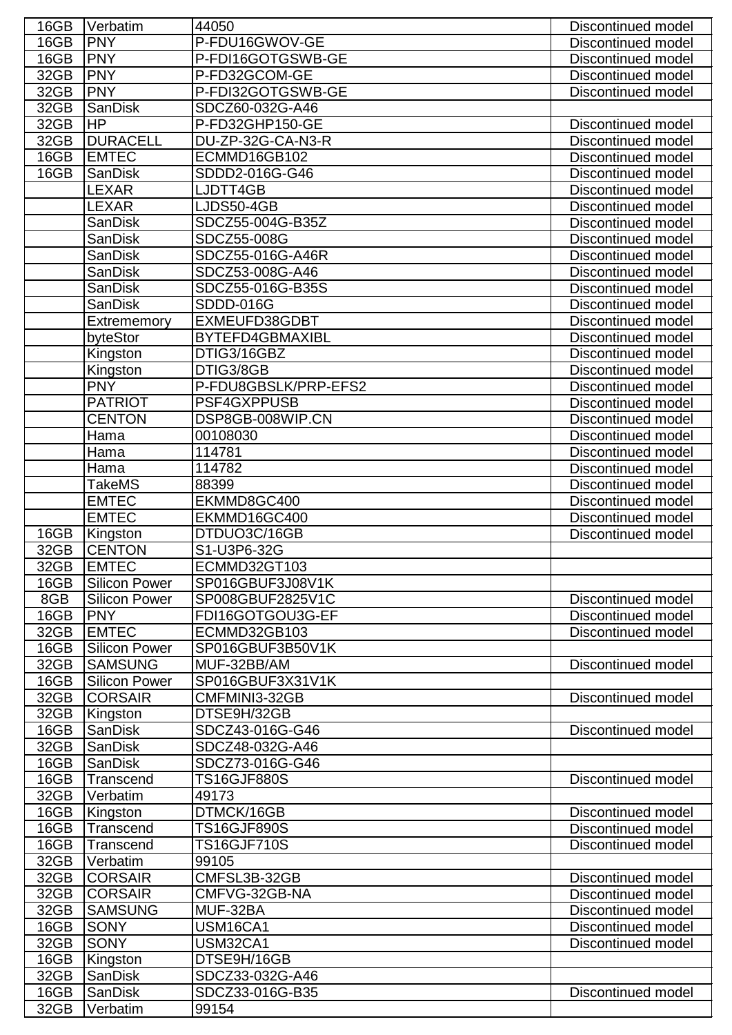| 16GB | Verbatim             | 44050                | Discontinued model        |
|------|----------------------|----------------------|---------------------------|
| 16GB | <b>PNY</b>           | P-FDU16GWOV-GE       | Discontinued model        |
| 16GB | <b>PNY</b>           | P-FDI16GOTGSWB-GE    | <b>Discontinued model</b> |
| 32GB | <b>PNY</b>           | P-FD32GCOM-GE        | <b>Discontinued model</b> |
| 32GB | <b>PNY</b>           | P-FDI32GOTGSWB-GE    | <b>Discontinued model</b> |
| 32GB | <b>SanDisk</b>       | SDCZ60-032G-A46      |                           |
| 32GB | <b>HP</b>            | P-FD32GHP150-GE      | Discontinued model        |
| 32GB | <b>DURACELL</b>      | DU-ZP-32G-CA-N3-R    | <b>Discontinued model</b> |
| 16GB | <b>EMTEC</b>         | ECMMD16GB102         | Discontinued model        |
| 16GB | <b>SanDisk</b>       | SDDD2-016G-G46       | Discontinued model        |
|      | <b>LEXAR</b>         | LJDTT4GB             | <b>Discontinued model</b> |
|      | LEXAR                | LJDS50-4GB           | Discontinued model        |
|      |                      | SDCZ55-004G-B35Z     | <b>Discontinued model</b> |
|      | <b>SanDisk</b>       |                      |                           |
|      | <b>SanDisk</b>       | SDCZ55-008G          | <b>Discontinued model</b> |
|      | <b>SanDisk</b>       | SDCZ55-016G-A46R     | <b>Discontinued model</b> |
|      | <b>SanDisk</b>       | SDCZ53-008G-A46      | Discontinued model        |
|      | <b>SanDisk</b>       | SDCZ55-016G-B35S     | Discontinued model        |
|      | <b>SanDisk</b>       | <b>SDDD-016G</b>     | <b>Discontinued model</b> |
|      | Extrememory          | EXMEUFD38GDBT        | <b>Discontinued model</b> |
|      | byteStor             | BYTEFD4GBMAXIBL      | Discontinued model        |
|      | <b>Kingston</b>      | DTIG3/16GBZ          | <b>Discontinued model</b> |
|      | Kingston             | DTIG3/8GB            | <b>Discontinued model</b> |
|      | <b>PNY</b>           | P-FDU8GBSLK/PRP-EFS2 | Discontinued model        |
|      | <b>PATRIOT</b>       | PSF4GXPPUSB          | Discontinued model        |
|      | <b>CENTON</b>        | DSP8GB-008WIP.CN     | Discontinued model        |
|      | Hama                 | 00108030             | <b>Discontinued model</b> |
|      | Hama                 | 114781               | <b>Discontinued model</b> |
|      | Hama                 | 114782               | Discontinued model        |
|      | TakeMS               | 88399                | Discontinued model        |
|      | <b>EMTEC</b>         | EKMMD8GC400          | <b>Discontinued model</b> |
|      | <b>EMTEC</b>         | EKMMD16GC400         | Discontinued model        |
| 16GB | Kingston             | DTDUO3C/16GB         | Discontinued model        |
| 32GB | <b>CENTON</b>        | S1-U3P6-32G          |                           |
| 32GB | <b>EMTEC</b>         | ECMMD32GT103         |                           |
| 16GB | <b>Silicon Power</b> | SP016GBUF3J08V1K     |                           |
| 8GB  | <b>Silicon Power</b> | SP008GBUF2825V1C     | Discontinued model        |
| 16GB | <b>PNY</b>           | FDI16GOTGOU3G-EF     | <b>Discontinued model</b> |
| 32GB | <b>EMTEC</b>         | ECMMD32GB103         | <b>Discontinued model</b> |
| 16GB | <b>Silicon Power</b> | SP016GBUF3B50V1K     |                           |
| 32GB | <b>SAMSUNG</b>       | MUF-32BB/AM          | Discontinued model        |
| 16GB | <b>Silicon Power</b> | SP016GBUF3X31V1K     |                           |
| 32GB | <b>CORSAIR</b>       | CMFMINI3-32GB        | <b>Discontinued model</b> |
| 32GB | Kingston             | DTSE9H/32GB          |                           |
| 16GB | <b>SanDisk</b>       | SDCZ43-016G-G46      | Discontinued model        |
| 32GB | <b>SanDisk</b>       | SDCZ48-032G-A46      |                           |
| 16GB | <b>SanDisk</b>       | SDCZ73-016G-G46      |                           |
| 16GB | Transcend            | <b>TS16GJF880S</b>   | Discontinued model        |
| 32GB | Verbatim             | 49173                |                           |
|      |                      | DTMCK/16GB           |                           |
| 16GB | Kingston             |                      | <b>Discontinued model</b> |
| 16GB | Transcend            | <b>TS16GJF890S</b>   | <b>Discontinued model</b> |
| 16GB | Transcend            | <b>TS16GJF710S</b>   | <b>Discontinued model</b> |
| 32GB | Verbatim             | 99105                |                           |
| 32GB | <b>CORSAIR</b>       | CMFSL3B-32GB         | Discontinued model        |
| 32GB | <b>CORSAIR</b>       | CMFVG-32GB-NA        | <b>Discontinued model</b> |
| 32GB | <b>SAMSUNG</b>       | MUF-32BA             | <b>Discontinued model</b> |
| 16GB | <b>SONY</b>          | USM16CA1             | <b>Discontinued model</b> |
| 32GB | <b>SONY</b>          | USM32CA1             | <b>Discontinued model</b> |
| 16GB | Kingston             | DTSE9H/16GB          |                           |
| 32GB | <b>SanDisk</b>       | SDCZ33-032G-A46      |                           |
| 16GB | <b>SanDisk</b>       | SDCZ33-016G-B35      | <b>Discontinued model</b> |
| 32GB | Verbatim             | 99154                |                           |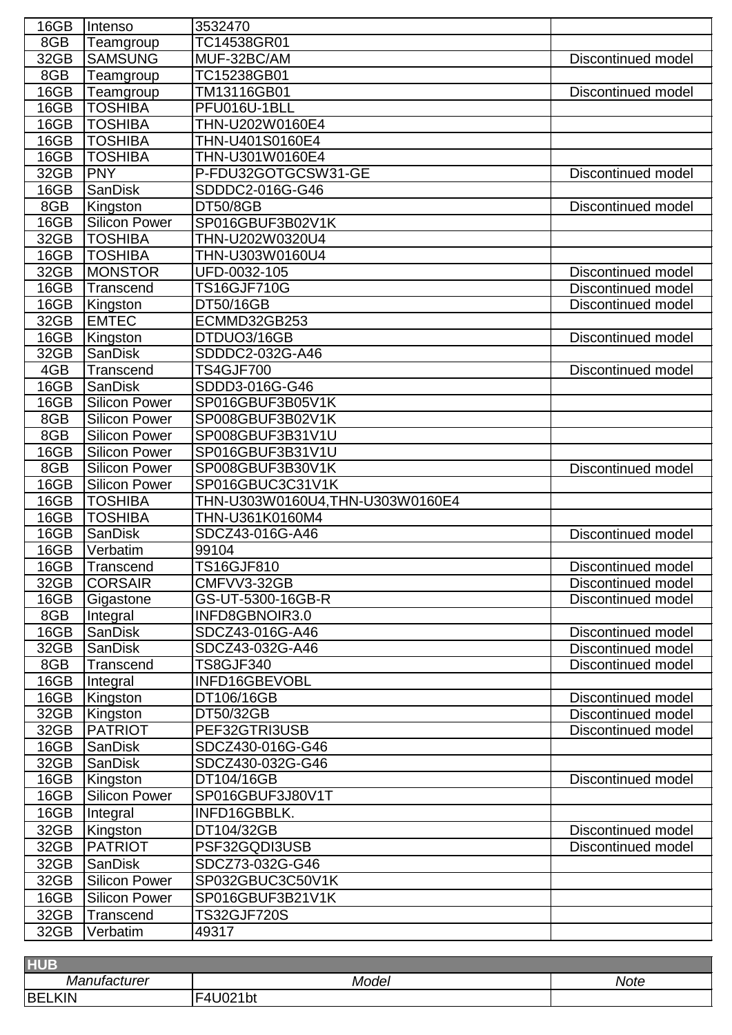| 16GB | Intenso              | 3532470                         |                           |
|------|----------------------|---------------------------------|---------------------------|
| 8GB  | Teamgroup            | TC14538GR01                     |                           |
| 32GB | <b>SAMSUNG</b>       | MUF-32BC/AM                     | <b>Discontinued model</b> |
| 8GB  | Teamgroup            | TC15238GB01                     |                           |
| 16GB | Teamgroup            | TM13116GB01                     | Discontinued model        |
| 16GB | <b>TOSHIBA</b>       | PFU016U-1BLL                    |                           |
| 16GB | <b>TOSHIBA</b>       | THN-U202W0160E4                 |                           |
| 16GB | <b>TOSHIBA</b>       | THN-U401S0160E4                 |                           |
| 16GB | <b>TOSHIBA</b>       | THN-U301W0160E4                 |                           |
| 32GB | <b>PNY</b>           | P-FDU32GOTGCSW31-GE             | Discontinued model        |
| 16GB | <b>SanDisk</b>       | SDDDC2-016G-G46                 |                           |
| 8GB  | Kingston             | <b>DT50/8GB</b>                 | <b>Discontinued model</b> |
| 16GB | <b>Silicon Power</b> | SP016GBUF3B02V1K                |                           |
| 32GB | <b>TOSHIBA</b>       | THN-U202W0320U4                 |                           |
| 16GB | <b>TOSHIBA</b>       | THN-U303W0160U4                 |                           |
| 32GB | <b>MONSTOR</b>       | UFD-0032-105                    | Discontinued model        |
| 16GB | Transcend            | <b>TS16GJF710G</b>              | <b>Discontinued model</b> |
| 16GB | Kingston             | DT50/16GB                       | Discontinued model        |
| 32GB | <b>EMTEC</b>         | ECMMD32GB253                    |                           |
| 16GB | Kingston             | DTDUO3/16GB                     | Discontinued model        |
| 32GB | <b>SanDisk</b>       | SDDDC2-032G-A46                 |                           |
| 4GB  | <b>Transcend</b>     | <b>TS4GJF700</b>                | <b>Discontinued model</b> |
| 16GB | <b>SanDisk</b>       | SDDD3-016G-G46                  |                           |
| 16GB | <b>Silicon Power</b> | SP016GBUF3B05V1K                |                           |
| 8GB  | <b>Silicon Power</b> | SP008GBUF3B02V1K                |                           |
| 8GB  | <b>Silicon Power</b> | SP008GBUF3B31V1U                |                           |
| 16GB | <b>Silicon Power</b> | SP016GBUF3B31V1U                |                           |
| 8GB  | <b>Silicon Power</b> | SP008GBUF3B30V1K                | Discontinued model        |
| 16GB | <b>Silicon Power</b> | SP016GBUC3C31V1K                |                           |
| 16GB | <b>TOSHIBA</b>       | THN-U303W0160U4,THN-U303W0160E4 |                           |
| 16GB | <b>TOSHIBA</b>       | THN-U361K0160M4                 |                           |
| 16GB | SanDisk              | SDCZ43-016G-A46                 | Discontinued model        |
| 16GB | Verbatim             | 99104                           |                           |
| 16GB | <b>Transcend</b>     | <b>TS16GJF810</b>               | <b>Discontinued model</b> |
| 32GB | <b>CORSAIR</b>       | CMFVV3-32GB                     | Discontinued model        |
| 16GB | Gigastone            | GS-UT-5300-16GB-R               | <b>Discontinued model</b> |
| 8GB  | Integral             | INFD8GBNOIR3.0                  |                           |
| 16GB | <b>SanDisk</b>       | SDCZ43-016G-A46                 | <b>Discontinued model</b> |
| 32GB | <b>SanDisk</b>       | SDCZ43-032G-A46                 | <b>Discontinued model</b> |
| 8GB  | Transcend            | TS8GJF340                       | Discontinued model        |
| 16GB | Integral             | INFD16GBEVOBL                   |                           |
| 16GB | Kingston             | DT106/16GB                      | <b>Discontinued model</b> |
| 32GB | Kingston             | DT50/32GB                       | Discontinued model        |
| 32GB | <b>PATRIOT</b>       | PEF32GTRI3USB                   | <b>Discontinued model</b> |
| 16GB | <b>SanDisk</b>       | SDCZ430-016G-G46                |                           |
| 32GB | <b>SanDisk</b>       | SDCZ430-032G-G46                |                           |
| 16GB | Kingston             | DT104/16GB                      | <b>Discontinued model</b> |
| 16GB | <b>Silicon Power</b> | SP016GBUF3J80V1T                |                           |
| 16GB | Integral             | INFD16GBBLK.                    |                           |
| 32GB | Kingston             | DT104/32GB                      | <b>Discontinued model</b> |
| 32GB | <b>PATRIOT</b>       | PSF32GQDI3USB                   | Discontinued model        |
| 32GB | <b>SanDisk</b>       | SDCZ73-032G-G46                 |                           |
| 32GB | <b>Silicon Power</b> | SP032GBUC3C50V1K                |                           |
| 16GB | <b>Silicon Power</b> | SP016GBUF3B21V1K                |                           |
| 32GB | <b>Transcend</b>     | <b>TS32GJF720S</b>              |                           |
| 32GB | Verbatim             | 49317                           |                           |
|      |                      |                                 |                           |

| <b>HUE</b>         |                |             |  |  |
|--------------------|----------------|-------------|--|--|
| Manufacturer       | Model          | <b>Note</b> |  |  |
| <b>IBE!</b><br>KIN | l bi<br>и<br>. |             |  |  |